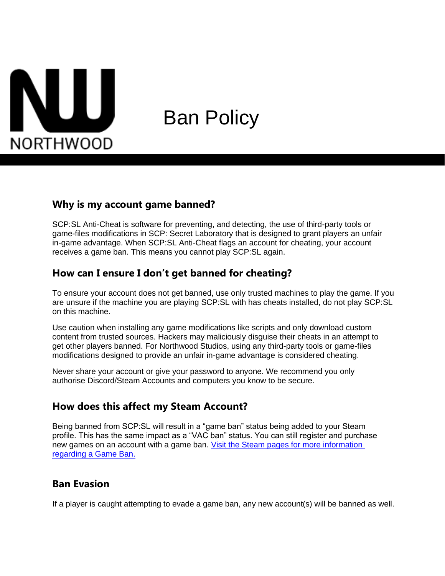

# Ban Policy

#### **Why is my account game banned?**

SCP:SL Anti-Cheat is software for preventing, and detecting, the use of third-party tools or game-files modifications in SCP: Secret Laboratory that is designed to grant players an unfair in-game advantage. When SCP:SL Anti-Cheat flags an account for cheating, your account receives a game ban. This means you cannot play SCP:SL again.

# **How can I ensure I don't get banned for cheating?**

To ensure your account does not get banned, use only trusted machines to play the game. If you are unsure if the machine you are playing SCP:SL with has cheats installed, do not play SCP:SL on this machine.

Use caution when installing any game modifications like scripts and only download custom content from trusted sources. Hackers may maliciously disguise their cheats in an attempt to get other players banned. For Northwood Studios, using any third-party tools or game-files modifications designed to provide an unfair in-game advantage is considered cheating.

Never share your account or give your password to anyone. We recommend you only authorise Discord/Steam Accounts and computers you know to be secure.

#### **How does this affect my Steam Account?**

Being banned from SCP:SL will result in a "game ban" status being added to your Steam profile. This has the same impact as a "VAC ban" status. You can still register and purchase new games on an account with a game ban. [Visit the Steam pages for more information](https://support.steampowered.com/kb_article.php?ref=6899-IOSK-9514) [regarding a Game Ban.](https://support.steampowered.com/kb_article.php?ref=6899-IOSK-9514)

#### **Ban Evasion**

If a player is caught attempting to evade a game ban, any new account(s) will be banned as well.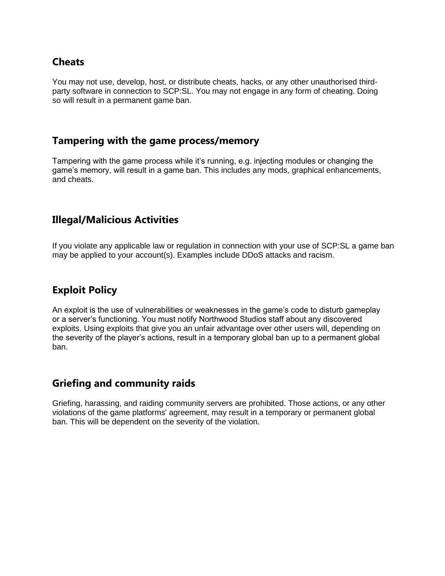# **Cheats**

You may not use, develop, host, or distribute cheats, hacks, or any other unauthorised thirdparty software in connection to SCP:SL. You may not engage in any form of cheating. Doing so will result in a permanent game ban.

#### **Tampering with the game process/memory**

Tampering with the game process while it's running, e.g. injecting modules or changing the game's memory, will result in a game ban. This includes any mods, graphical enhancements, and cheats.

# **Illegal/Malicious Activities**

If you violate any applicable law or regulation in connection with your use of SCP:SL a game ban may be applied to your account(s). Examples include DDoS attacks and racism.

# **Exploit Policy**

An exploit is the use of vulnerabilities or weaknesses in the game's code to disturb gameplay or a server's functioning. You must notify Northwood Studios staff about any discovered exploits. Using exploits that give you an unfair advantage over other users will, depending on the severity of the player's actions, result in a temporary global ban up to a permanent global ban.

# **Griefing and community raids**

Griefing, harassing, and raiding community servers are prohibited. Those actions, or any other violations of the game platforms' agreement, may result in a temporary or permanent global ban. This will be dependent on the severity of the violation.